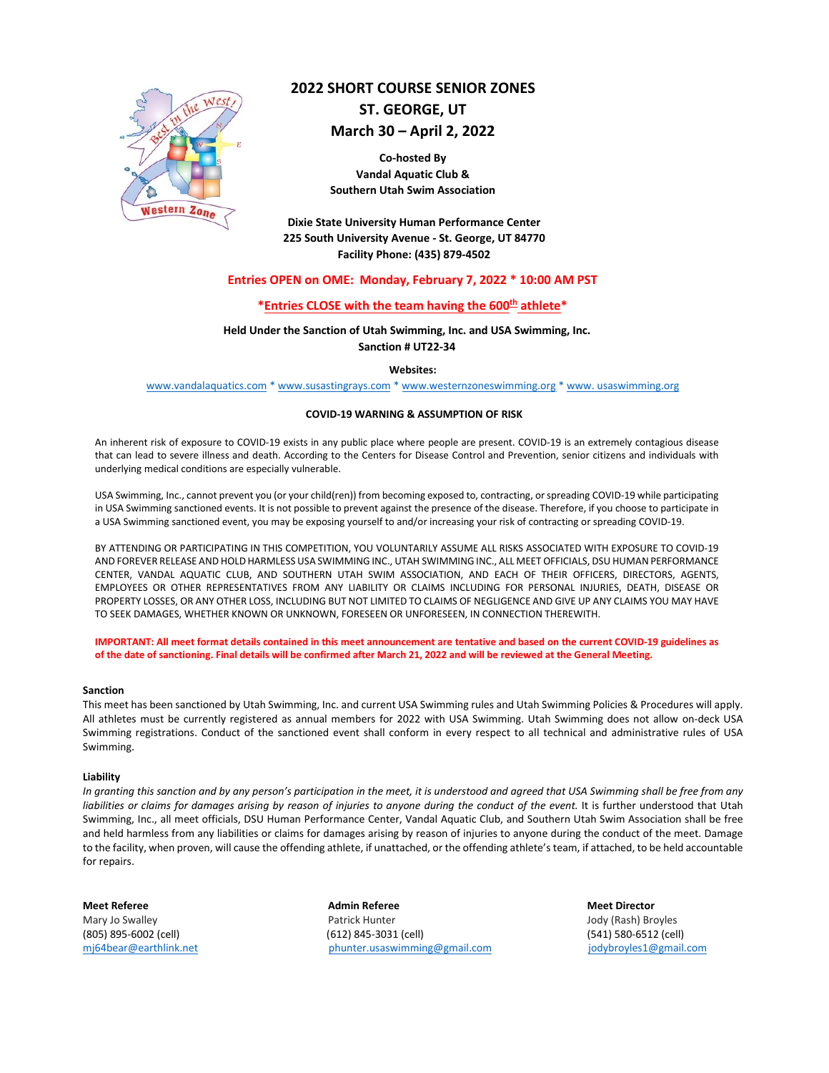

# **2022 SHORT COURSE SENIOR ZONES**

**ST. GEORGE, UT**

# **March 30 – April 2, 2022**

**Co-hosted By Vandal Aquatic Club & Southern Utah Swim Association**

**Dixie State University Human Performance Center 225 South University Avenue - St. George, UT 84770 Facility Phone: (435) 879-4502**

## **Entries OPEN on OME: Monday, February 7, 2022 \* 10:00 AM PST**

# **\*Entries CLOSE with the team having the 600th athlete\***

# **Held Under the Sanction of Utah Swimming, Inc. and USA Swimming, Inc. Sanction # UT22-34**

#### **Websites:**

[www.vandalaquatics.com](http://www.vandalaquatics.com/) \* www.susastingrays.com \* [www.westernzoneswimming.org](http://www.westernzoneswimming.org/) \* www. usaswimming.org

#### **COVID-19 WARNING & ASSUMPTION OF RISK**

An inherent risk of exposure to COVID‐19 exists in any public place where people are present. COVID‐19 is an extremely contagious disease that can lead to severe illness and death. According to the Centers for Disease Control and Prevention, senior citizens and individuals with underlying medical conditions are especially vulnerable.

USA Swimming, Inc., cannot prevent you (or your child(ren)) from becoming exposed to, contracting, or spreading COVID‐19 while participating in USA Swimming sanctioned events. It is not possible to prevent against the presence of the disease. Therefore, if you choose to participate in a USA Swimming sanctioned event, you may be exposing yourself to and/or increasing your risk of contracting or spreading COVID‐19.

BY ATTENDING OR PARTICIPATING IN THIS COMPETITION, YOU VOLUNTARILY ASSUME ALL RISKS ASSOCIATED WITH EXPOSURE TO COVID‐19 AND FOREVER RELEASE AND HOLD HARMLESS USA SWIMMING INC., UTAH SWIMMING INC., ALL MEET OFFICIALS, DSU HUMAN PERFORMANCE CENTER, VANDAL AQUATIC CLUB, AND SOUTHERN UTAH SWIM ASSOCIATION, AND EACH OF THEIR OFFICERS, DIRECTORS, AGENTS, EMPLOYEES OR OTHER REPRESENTATIVES FROM ANY LIABILITY OR CLAIMS INCLUDING FOR PERSONAL INJURIES, DEATH, DISEASE OR PROPERTY LOSSES, OR ANY OTHER LOSS, INCLUDING BUT NOT LIMITED TO CLAIMS OF NEGLIGENCE AND GIVE UP ANY CLAIMS YOU MAY HAVE TO SEEK DAMAGES, WHETHER KNOWN OR UNKNOWN, FORESEEN OR UNFORESEEN, IN CONNECTION THEREWITH.

**IMPORTANT: All meet format details contained in this meet announcement are tentative and based on the current COVID-19 guidelines as of the date of sanctioning. Final details will be confirmed after March 21, 2022 and will be reviewed at the General Meeting.**

### **Sanction**

This meet has been sanctioned by Utah Swimming, Inc. and current USA Swimming rules and Utah Swimming Policies & Procedures will apply. All athletes must be currently registered as annual members for 2022 with USA Swimming. Utah Swimming does not allow on-deck USA Swimming registrations. Conduct of the sanctioned event shall conform in every respect to all technical and administrative rules of USA Swimming.

#### **Liability**

*In granting this sanction and by any person's participation in the meet, it is understood and agreed that USA Swimming shall be free from any*  liabilities or claims for damages arising by reason of injuries to anyone during the conduct of the event. It is further understood that Utah Swimming, Inc., all meet officials, DSU Human Performance Center, Vandal Aquatic Club, and Southern Utah Swim Association shall be free and held harmless from any liabilities or claims for damages arising by reason of injuries to anyone during the conduct of the meet. Damage to the facility, when proven, will cause the offending athlete, if unattached, or the offending athlete's team, if attached, to be held accountable for repairs.

**Meet Referee Admin Referee Meet Director** Mary Jo Swalley Patrick Hunter Jody (Rash) Broyles (805) 895-6002 (cell) (612) 845-3031 (cell) (541) 580-6512 (cell) [mj64bear@earthlink.net](mailto:mj64bear@earthlink.net) [phunter.usaswimming@gmail.com](mailto:phunter.usaswimming@gmail.com) [jodybroyles1@gmail.com](mailto:jodybroyles1@gmail.com)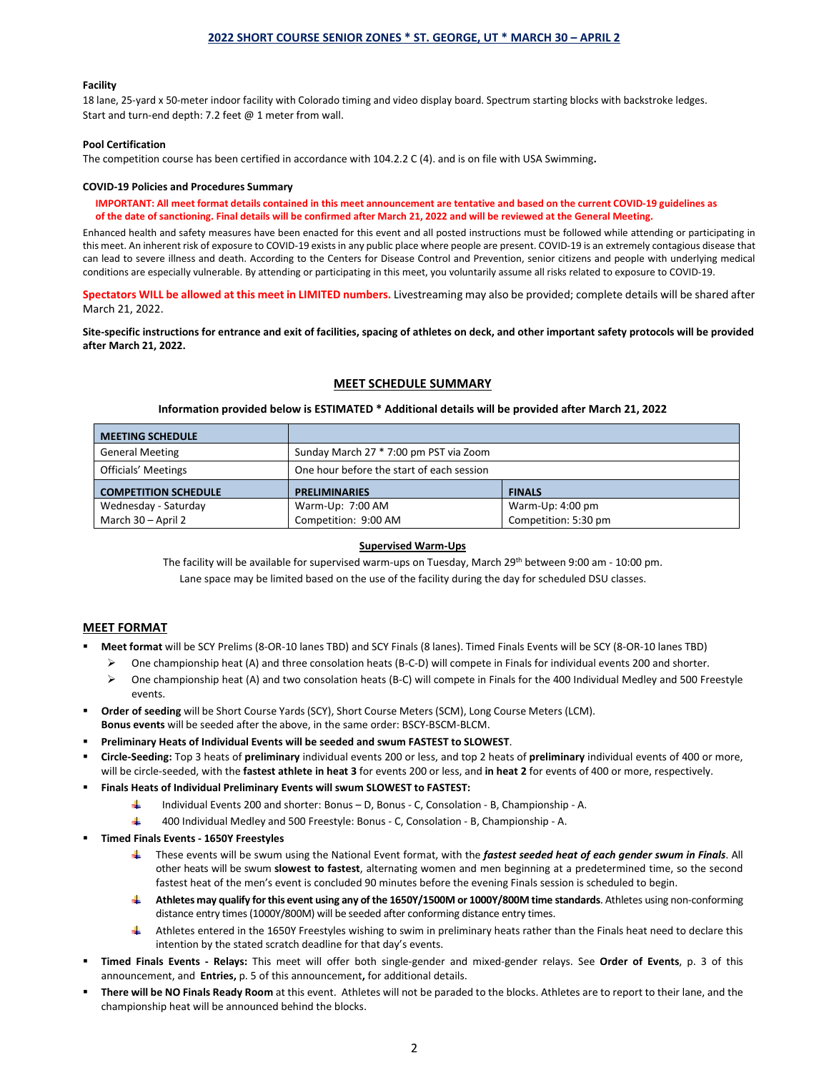### **2022 SHORT COURSE SENIOR ZONES \* ST. GEORGE, UT \* MARCH 30 – APRIL 2**

#### **Facility**

18 lane, 25-yard x 50-meter indoor facility with Colorado timing and video display board. Spectrum starting blocks with backstroke ledges. Start and turn-end depth: 7.2 feet @ 1 meter from wall.

#### **Pool Certification**

The competition course has been certified in accordance with 104.2.2 C (4). and is on file with USA Swimming**.**

#### **COVID-19 Policies and Procedures Summary**

**IMPORTANT: All meet format details contained in this meet announcement are tentative and based on the current COVID-19 guidelines as of the date of sanctioning. Final details will be confirmed after March 21, 2022 and will be reviewed at the General Meeting.**

Enhanced health and safety measures have been enacted for this event and all posted instructions must be followed while attending or participating in this meet. An inherent risk of exposure to COVID-19 exists in any public place where people are present. COVID-19 is an extremely contagious disease that can lead to severe illness and death. According to the Centers for Disease Control and Prevention, senior citizens and people with underlying medical conditions are especially vulnerable. By attending or participating in this meet, you voluntarily assume all risks related to exposure to COVID-19.

**Spectators WILL be allowed at this meet in LIMITED numbers.** Livestreaming may also be provided; complete details will be shared after March 21, 2022.

**Site-specific instructions for entrance and exit of facilities, spacing of athletes on deck, and other important safety protocols will be provided after March 21, 2022.**

### **MEET SCHEDULE SUMMARY**

### **Information provided below is ESTIMATED \* Additional details will be provided after March 21, 2022**

| <b>MEETING SCHEDULE</b>     |                                           |                  |  |  |
|-----------------------------|-------------------------------------------|------------------|--|--|
| <b>General Meeting</b>      | Sunday March 27 * 7:00 pm PST via Zoom    |                  |  |  |
| Officials' Meetings         | One hour before the start of each session |                  |  |  |
| <b>COMPETITION SCHEDULE</b> | <b>PRELIMINARIES</b>                      | <b>FINALS</b>    |  |  |
| Wednesday - Saturday        | Warm-Up: 7:00 AM                          | Warm-Up: 4:00 pm |  |  |
|                             |                                           |                  |  |  |

#### **Supervised Warm-Ups**

The facility will be available for supervised warm-ups on Tuesday, March 29th between 9:00 am - 10:00 pm. Lane space may be limited based on the use of the facility during the day for scheduled DSU classes.

### **MEET FORMAT**

- **Meet format** will be SCY Prelims (8-OR-10 lanes TBD) and SCY Finals (8 lanes). Timed Finals Events will be SCY (8-OR-10 lanes TBD)
	- $\triangleright$  One championship heat (A) and three consolation heats (B-C-D) will compete in Finals for individual events 200 and shorter.
	- $\triangleright$  One championship heat (A) and two consolation heats (B-C) will compete in Finals for the 400 Individual Medley and 500 Freestyle events.
- **Order of seeding** will be Short Course Yards (SCY), Short Course Meters (SCM), Long Course Meters (LCM).
- **Bonus events** will be seeded after the above, in the same order: BSCY-BSCM-BLCM.
- **Preliminary Heats of Individual Events will be seeded and swum FASTEST to SLOWEST**.
- **Circle-Seeding:** Top 3 heats of **preliminary** individual events 200 or less, and top 2 heats of **preliminary** individual events of 400 or more, will be circle-seeded, with the **fastest athlete in heat 3** for events 200 or less, and **in heat 2** for events of 400 or more, respectively.
- **Finals Heats of Individual Preliminary Events will swum SLOWEST to FASTEST:**
	- ÷ Individual Events 200 and shorter: Bonus – D, Bonus - C, Consolation - B, Championship - A.
	- AL. 400 Individual Medley and 500 Freestyle: Bonus - C, Consolation - B, Championship - A.
- **Timed Finals Events - 1650Y Freestyles**
	- These events will be swum using the National Event format, with the *fastest seeded heat of each gender swum in Finals*. All a ka other heats will be swum **slowest to fastest**, alternating women and men beginning at a predetermined time, so the second fastest heat of the men's event is concluded 90 minutes before the evening Finals session is scheduled to begin.
	- **Athletes may qualify for this event using any of the 1650Y/1500M or 1000Y/800M time standards**. Athletes using non-conforming distance entry times (1000Y/800M) will be seeded after conforming distance entry times.
	- Athletes entered in the 1650Y Freestyles wishing to swim in preliminary heats rather than the Finals heat need to declare this intention by the stated scratch deadline for that day's events.
- **Timed Finals Events - Relays:** This meet will offer both single-gender and mixed-gender relays. See **Order of Events**, p. 3 of this announcement, and **Entries,** p. 5 of this announcement**,** for additional details.
- **There will be NO Finals Ready Room** at this event. Athletes will not be paraded to the blocks. Athletes are to report to their lane, and the championship heat will be announced behind the blocks.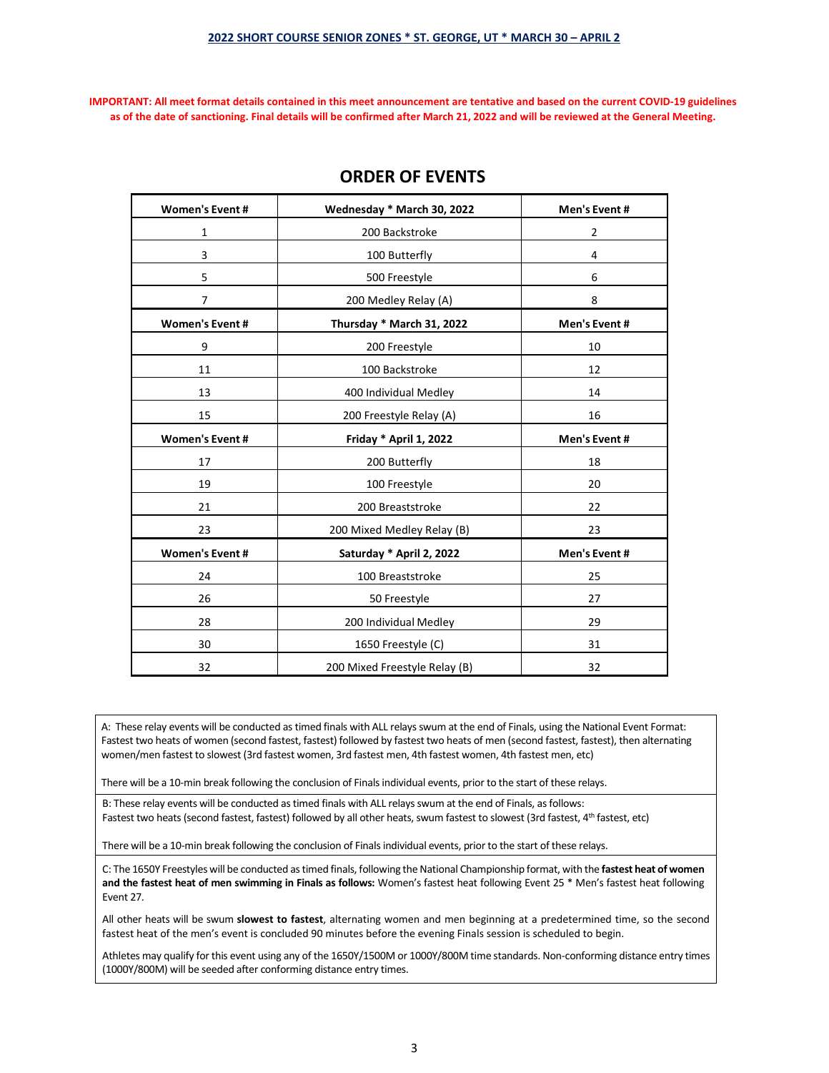### **2022 SHORT COURSE SENIOR ZONES \* ST. GEORGE, UT \* MARCH 30 – APRIL 2**

**IMPORTANT: All meet format details contained in this meet announcement are tentative and based on the current COVID-19 guidelines as of the date of sanctioning. Final details will be confirmed after March 21, 2022 and will be reviewed at the General Meeting.**

| <b>Women's Event #</b> | Wednesday * March 30, 2022<br>Men's Event# |                |  |
|------------------------|--------------------------------------------|----------------|--|
| 1                      | 200 Backstroke                             | $\overline{2}$ |  |
| 3                      | 100 Butterfly                              | 4              |  |
| 5                      | 500 Freestyle                              | 6              |  |
| 7                      | 200 Medley Relay (A)                       | 8              |  |
| <b>Women's Event #</b> | Thursday * March 31, 2022                  | Men's Event#   |  |
| 9                      | 200 Freestyle                              | 10             |  |
| 11                     | 100 Backstroke                             | 12             |  |
| 13                     | 400 Individual Medley                      | 14             |  |
| 15                     | 200 Freestyle Relay (A)                    | 16             |  |
| <b>Women's Event #</b> | Friday * April 1, 2022                     | Men's Event#   |  |
| 17                     | 200 Butterfly                              | 18             |  |
| 19                     | 100 Freestyle                              | 20             |  |
| 21                     | 200 Breaststroke                           | 22             |  |
| 23                     | 200 Mixed Medley Relay (B)<br>23           |                |  |
| <b>Women's Event#</b>  | Saturday * April 2, 2022                   | Men's Event#   |  |
| 24                     | 100 Breaststroke                           | 25             |  |
| 26                     | 50 Freestyle                               | 27             |  |
| 28                     | 200 Individual Medley                      | 29             |  |
| 30                     | 1650 Freestyle (C)                         | 31             |  |
| 32                     | 200 Mixed Freestyle Relay (B)              | 32             |  |

# **ORDER OF EVENTS**

A: These relay events will be conducted as timed finals with ALL relays swum at the end of Finals, using the National Event Format: Fastest two heats of women (second fastest, fastest) followed by fastest two heats of men (second fastest, fastest), then alternating women/men fastest to slowest (3rd fastest women, 3rd fastest men, 4th fastest women, 4th fastest men, etc)

There will be a 10-min break following the conclusion of Finals individual events, prior to the start of these relays.

B: These relay events will be conducted as timed finals with ALL relays swum at the end of Finals, as follows: Fastest two heats (second fastest, fastest) followed by all other heats, swum fastest to slowest (3rd fastest, 4<sup>th</sup> fastest, etc)

There will be a 10-min break following the conclusion of Finals individual events, prior to the start of these relays.

C: The 1650Y Freestyles will be conducted as timed finals, following the National Championship format, with the **fastest heat of women and the fastest heat of men swimming in Finals as follows:** Women's fastest heat following Event 25 \* Men's fastest heat following Event 27.

All other heats will be swum **slowest to fastest**, alternating women and men beginning at a predetermined time, so the second fastest heat of the men's event is concluded 90 minutes before the evening Finals session is scheduled to begin.

Athletes may qualify for this event using any of the 1650Y/1500M or 1000Y/800M time standards. Non-conforming distance entry times (1000Y/800M) will be seeded after conforming distance entry times.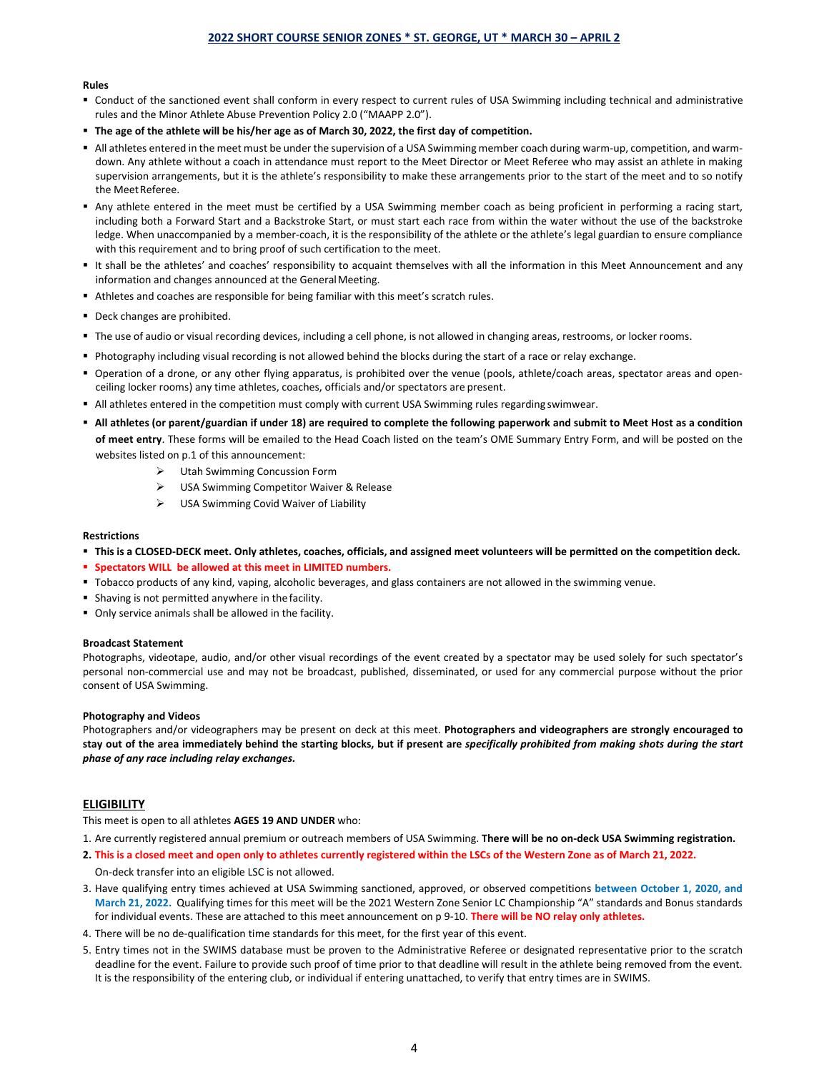#### **Rules**

- Conduct of the sanctioned event shall conform in every respect to current rules of USA Swimming including technical and administrative rules and the Minor Athlete Abuse Prevention Policy 2.0 ("MAAPP 2.0").
- **The age of the athlete will be his/her age as of March 30, 2022, the first day of competition.**
- All athletes entered in the meet must be under the supervision of a USA Swimming member coach during warm-up, competition, and warmdown. Any athlete without a coach in attendance must report to the Meet Director or Meet Referee who may assist an athlete in making supervision arrangements, but it is the athlete's responsibility to make these arrangements prior to the start of the meet and to so notify the MeetReferee.
- Any athlete entered in the meet must be certified by a USA Swimming member coach as being proficient in performing a racing start, including both a Forward Start and a Backstroke Start, or must start each race from within the water without the use of the backstroke ledge. When unaccompanied by a member-coach, it is the responsibility of the athlete or the athlete's legal guardian to ensure compliance with this requirement and to bring proof of such certification to the meet.
- It shall be the athletes' and coaches' responsibility to acquaint themselves with all the information in this Meet Announcement and any information and changes announced at the General Meeting.
- Athletes and coaches are responsible for being familiar with this meet's scratch rules.
- Deck changes are prohibited.
- The use of audio or visual recording devices, including a cell phone, is not allowed in changing areas, restrooms, or locker rooms.
- Photography including visual recording is not allowed behind the blocks during the start of a race or relay exchange.
- Operation of a drone, or any other flying apparatus, is prohibited over the venue (pools, athlete/coach areas, spectator areas and openceiling locker rooms) any time athletes, coaches, officials and/or spectators are present.
- All athletes entered in the competition must comply with current USA Swimming rules regarding swimwear.
- **All athletes (or parent/guardian if under 18) are required to complete the following paperwork and submit to Meet Host as a condition of meet entry**. These forms will be emailed to the Head Coach listed on the team's OME Summary Entry Form, and will be posted on the websites listed on p.1 of this announcement:
	- Utah Swimming Concussion Form
	- USA Swimming Competitor Waiver & Release
	- $\triangleright$  USA Swimming Covid Waiver of Liability

#### **Restrictions**

- **This is a CLOSED-DECK meet. Only athletes, coaches, officials, and assigned meet volunteers will be permitted on the competition deck.**
- **Spectators WILL be allowed at this meet in LIMITED numbers.**
- Tobacco products of any kind, vaping, alcoholic beverages, and glass containers are not allowed in the swimming venue.
- Shaving is not permitted anywhere in the facility.
- Only service animals shall be allowed in the facility.

#### **Broadcast Statement**

Photographs, videotape, audio, and/or other visual recordings of the event created by a spectator may be used solely for such spectator's personal non-commercial use and may not be broadcast, published, disseminated, or used for any commercial purpose without the prior consent of USA Swimming.

#### **Photography and Videos**

Photographers and/or videographers may be present on deck at this meet. **Photographers and videographers are strongly encouraged to stay out of the area immediately behind the starting blocks, but if present are** *specifically prohibited from making shots during the start phase of any race including relay exchanges.*

## **ELIGIBILITY**

This meet is open to all athletes **AGES 19 AND UNDER** who:

1. Are currently registered annual premium or outreach members of USA Swimming. **There will be no on-deck USA Swimming registration.**

- **2. This is a closed meet and open only to athletes currently registered within the LSCs of the Western Zone as of March 21, 2022.**
- On-deck transfer into an eligible LSC is not allowed.
- 3. Have qualifying entry times achieved at USA Swimming sanctioned, approved, or observed competitions **between October 1, 2020, and March 21, 2022.** Qualifying times for this meet will be the 2021 Western Zone Senior LC Championship "A" standards and Bonus standards for individual events. These are attached to this meet announcement on p 9-10. **There will be NO relay only athletes.**
- 4. There will be no de-qualification time standards for this meet, for the first year of this event.
- 5. Entry times not in the SWIMS database must be proven to the Administrative Referee or designated representative prior to the scratch deadline for the event. Failure to provide such proof of time prior to that deadline will result in the athlete being removed from the event. It is the responsibility of the entering club, or individual if entering unattached, to verify that entry times are in SWIMS.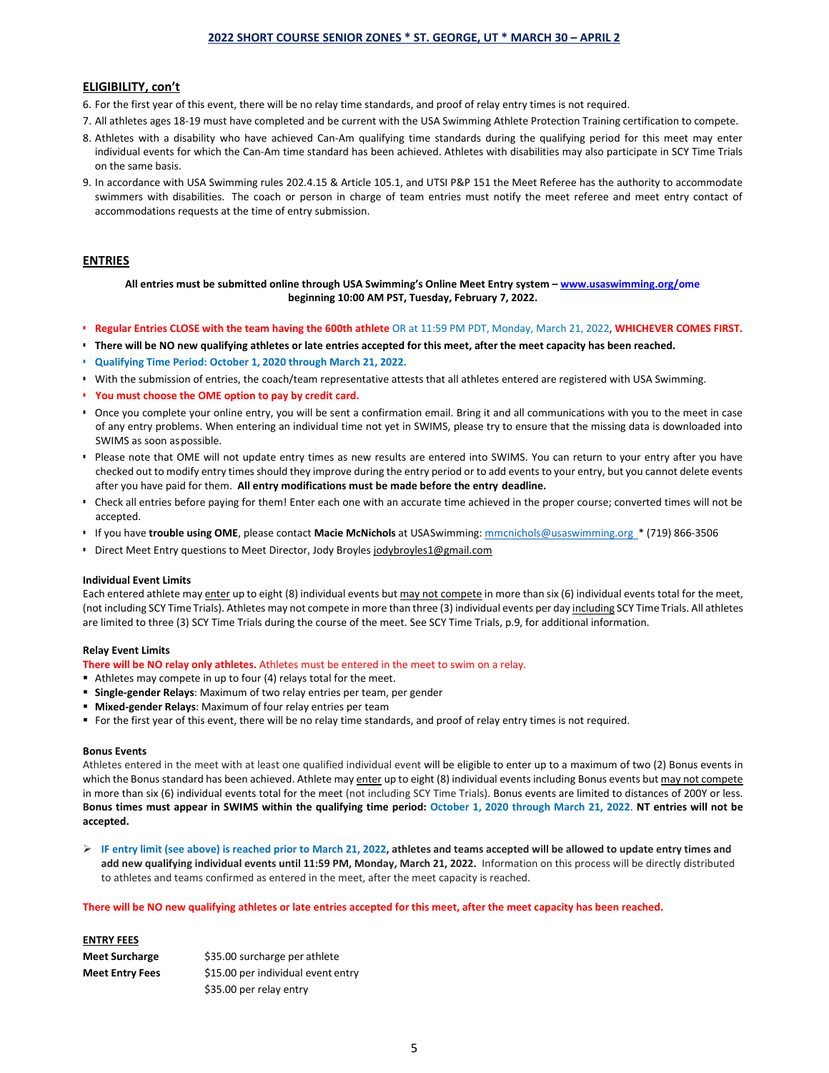### **2022 SHORT COURSE SENIOR ZONES \* ST. GEORGE, UT \* MARCH 30 – APRIL 2**

### **ELIGIBILITY, con't**

- 6. For the first year of this event, there will be no relay time standards, and proof of relay entry times is not required.
- 7. All athletes ages 18-19 must have completed and be current with the USA Swimming Athlete Protection Training certification to compete.
- 8. Athletes with a disability who have achieved Can-Am qualifying time standards during the qualifying period for this meet may enter individual events for which the Can-Am time standard has been achieved. Athletes with disabilities may also participate in SCY Time Trials on the same basis.
- 9. In accordance with USA Swimming rules 202.4.15 & Article 105.1, and UTSI P&P 151 the Meet Referee has the authority to accommodate swimmers with disabilities. The coach or person in charge of team entries must notify the meet referee and meet entry contact of accommodations requests at the time of entry submission.

### **ENTRIES**

**All entries must be submitted online through USA Swimming's Online Meet Entry system – [www.usaswimming.org/ome](http://www.usaswimming.org/ome) beginning 10:00 AM PST, Tuesday, February 7, 2022.**

- **Regular Entries CLOSE with the team having the 600th athlete** OR at 11:59 PM PDT, Monday, March 21, 2022, **WHICHEVER COMES FIRST.**
- **There will be NO new qualifying athletes or late entries accepted for this meet, after the meet capacity has been reached.**
- **Qualifying Time Period: October 1, 2020 through March 21, 2022.**
- With the submission of entries, the coach/team representative attests that all athletes entered are registered with USA Swimming.
- **You must choose the OME option to pay by credit card.**
- Once you complete your online entry, you will be sent a confirmation email. Bring it and all communications with you to the meet in case of any entry problems. When entering an individual time not yet in SWIMS, please try to ensure that the missing data is downloaded into SWIMS as soon aspossible.
- Please note that OME will not update entry times as new results are entered into SWIMS. You can return to your entry after you have checked out to modify entry times should they improve during the entry period or to add events to your entry, but you cannot delete events after you have paid for them. **All entry modifications must be made before the entry deadline.**
- Check all entries before paying for them! Enter each one with an accurate time achieved in the proper course; converted times will not be accepted.
- If you have **trouble using OME**, please contact **Macie McNichols** at USASwimming: [mmcnichols@usaswimming.org \\*](mailto:mmcnichols@usaswimming.org) (719) 866-3506
- Direct Meet Entry questions to Meet Director, Jody Broyle[s jodybroyles1@gmail.com](mailto:jodybroyles1@gmail.com)

### **Individual Event Limits**

Each entered athlete may enter up to eight (8) individual events but may not compete in more than six (6) individual events total for the meet, (not including SCY Time Trials). Athletes may not compete in more than three (3) individual events per day including SCY Time Trials. All athletes are limited to three (3) SCY Time Trials during the course of the meet. See SCY Time Trials, p.9, for additional information.

#### **Relay Event Limits**

**There will be NO relay only athletes.** Athletes must be entered in the meet to swim on a relay.

- Athletes may compete in up to four (4) relays total for the meet.
- **Single-gender Relays**: Maximum of two relay entries per team, per gender
- **Mixed-gender Relays**: Maximum of four relay entries per team
- For the first year of this event, there will be no relay time standards, and proof of relay entry times is not required.

#### **Bonus Events**

Athletes entered in the meet with at least one qualified individual event will be eligible to enter up to a maximum of two (2) Bonus events in which the Bonus standard has been achieved. Athlete may enter up to eight (8) individual events including Bonus events but may not compete in more than six (6) individual events total for the meet (not including SCY Time Trials). Bonus events are limited to distances of 200Y or less. **Bonus times must appear in SWIMS within the qualifying time period: October 1, 2020 through March 21, 2022**. **NT entries will not be accepted.**

 **IF entry limit (see above) is reached prior to March 21, 2022, athletes and teams accepted will be allowed to update entry times and add new qualifying individual events until 11:59 PM, Monday, March 21, 2022.** Information on this process will be directly distributed to athletes and teams confirmed as entered in the meet, after the meet capacity is reached.

**There will be NO new qualifying athletes or late entries accepted for this meet, after the meet capacity has been reached.**

| <b>ENTRY FEES</b>      |                                    |  |  |
|------------------------|------------------------------------|--|--|
| <b>Meet Surcharge</b>  | \$35.00 surcharge per athlete      |  |  |
| <b>Meet Entry Fees</b> | \$15.00 per individual event entry |  |  |
|                        | \$35.00 per relay entry            |  |  |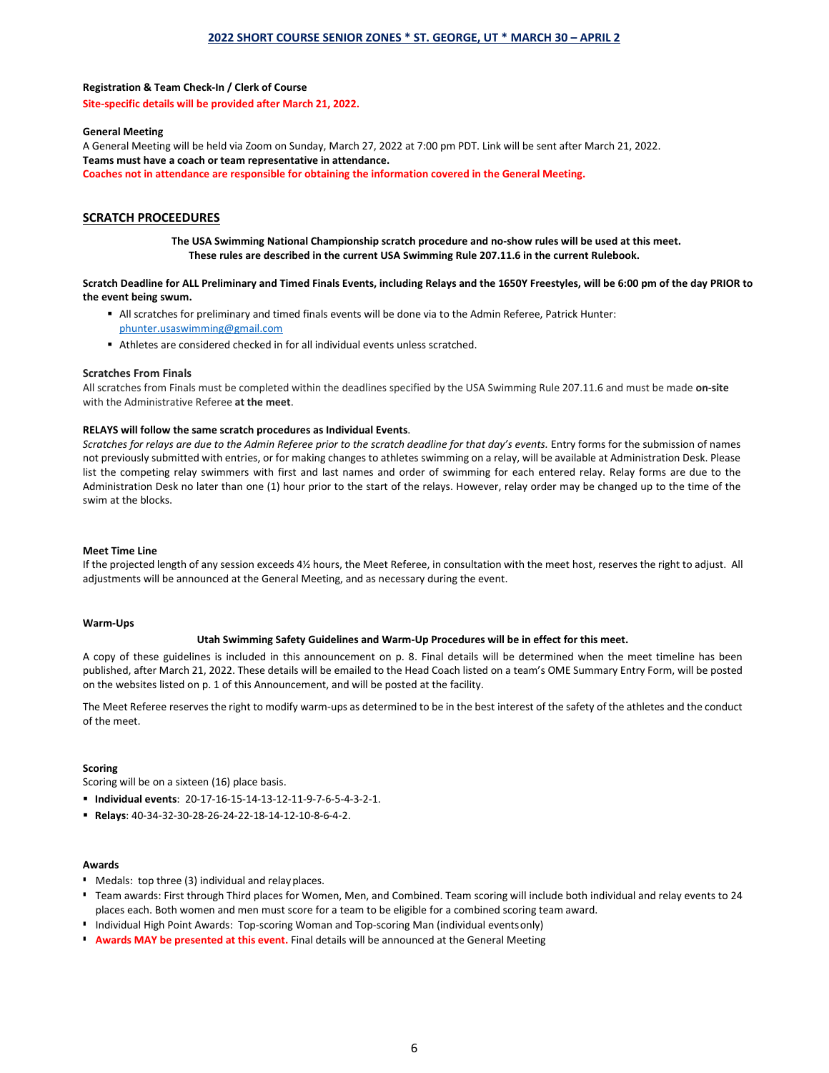### **Registration & Team Check-In / Clerk of Course**

**Site-specific details will be provided after March 21, 2022.**

#### **General Meeting**

A General Meeting will be held via Zoom on Sunday, March 27, 2022 at 7:00 pm PDT. Link will be sent after March 21, 2022. **Teams must have a coach or team representative in attendance. Coaches not in attendance are responsible for obtaining the information covered in the General Meeting.** 

## **SCRATCH PROCEEDURES**

**The USA Swimming National Championship scratch procedure and no-show rules will be used at this meet. These rules are described in the current USA Swimming Rule 207.11.6 in the current Rulebook.**

### **Scratch Deadline for ALL Preliminary and Timed Finals Events, including Relays and the 1650Y Freestyles, will be 6:00 pm of the day PRIOR to the event being swum.**

- All scratches for preliminary and timed finals events will be done via to the Admin Referee, Patrick Hunter: [phunter.usaswimming@gmail.com](mailto:phunter.usaswimming@gmail.com)
- Athletes are considered checked in for all individual events unless scratched.

### **Scratches From Finals**

All scratches from Finals must be completed within the deadlines specified by the USA Swimming Rule 207.11.6 and must be made **on-site** with the Administrative Referee **at the meet**.

#### **RELAYS will follow the same scratch procedures as Individual Events**.

Scratches for relays are due to the Admin Referee prior to the scratch deadline for that day's events. Entry forms for the submission of names not previously submitted with entries, or for making changes to athletes swimming on a relay, will be available at Administration Desk. Please list the competing relay swimmers with first and last names and order of swimming for each entered relay. Relay forms are due to the Administration Desk no later than one (1) hour prior to the start of the relays. However, relay order may be changed up to the time of the swim at the blocks.

#### **Meet Time Line**

If the projected length of any session exceeds 4½ hours, the Meet Referee, in consultation with the meet host, reserves the right to adjust. All adjustments will be announced at the General Meeting, and as necessary during the event.

#### **Warm-Ups**

### **Utah Swimming Safety Guidelines and Warm-Up Procedures will be in effect for this meet.**

A copy of these guidelines is included in this announcement on p. 8. Final details will be determined when the meet timeline has been published, after March 21, 2022. These details will be emailed to the Head Coach listed on a team's OME Summary Entry Form, will be posted on the websites listed on p. 1 of this Announcement, and will be posted at the facility.

The Meet Referee reserves the right to modify warm-ups as determined to be in the best interest of the safety of the athletes and the conduct of the meet.

### **Scoring**

Scoring will be on a sixteen (16) place basis.

- **Individual events**: 20-17-16-15-14-13-12-11-9-7-6-5-4-3-2-1.
- **Relays**: 40-34-32-30-28-26-24-22-18-14-12-10-8-6-4-2.

### **Awards**

- Medals: top three (3) individual and relayplaces.
- Team awards: First through Third places for Women, Men, and Combined. Team scoring will include both individual and relay events to 24 places each. Both women and men must score for a team to be eligible for a combined scoring team award.
- **Individual High Point Awards: Top-scoring Woman and Top-scoring Man (individual eventsonly)**
- **Awards MAY be presented at this event.** Final details will be announced at the General Meeting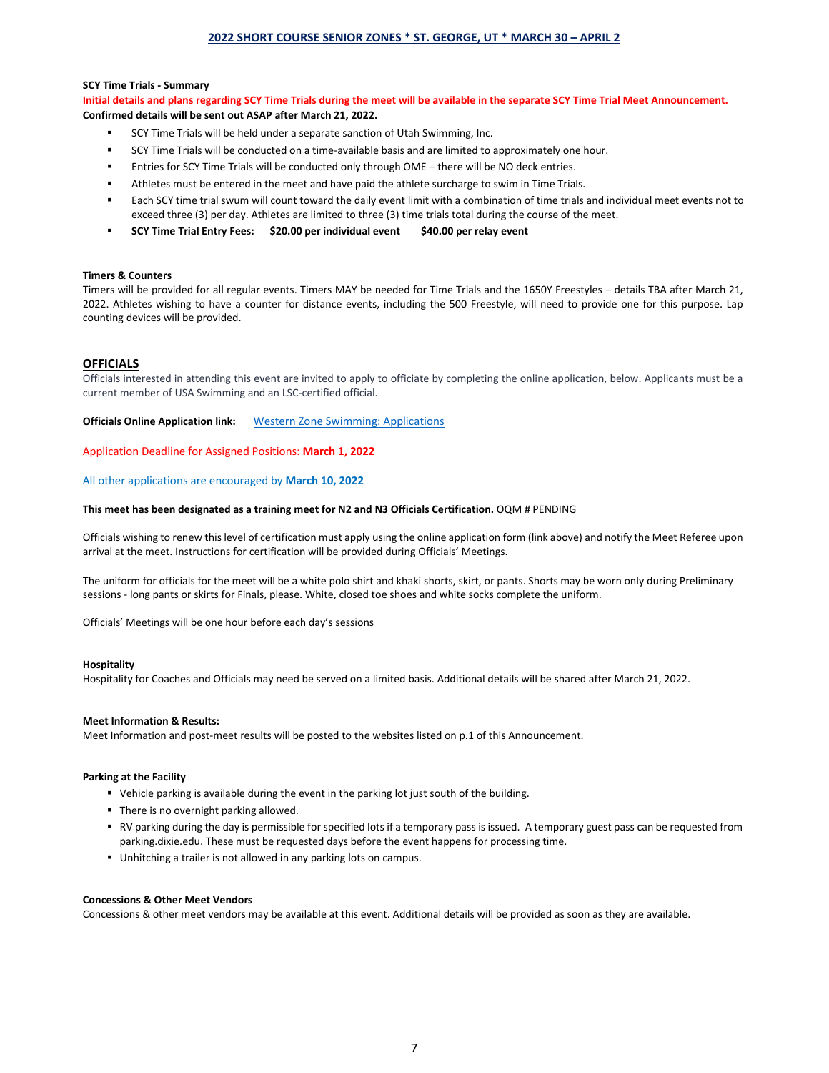#### **SCY Time Trials - Summary**

**Initial details and plans regarding SCY Time Trials during the meet will be available in the separate SCY Time Trial Meet Announcement. Confirmed details will be sent out ASAP after March 21, 2022.**

- SCY Time Trials will be held under a separate sanction of Utah Swimming, Inc.
- SCY Time Trials will be conducted on a time-available basis and are limited to approximately one hour.
- Entries for SCY Time Trials will be conducted only through OME there will be NO deck entries.
- Athletes must be entered in the meet and have paid the athlete surcharge to swim in Time Trials.
- Each SCY time trial swum will count toward the daily event limit with a combination of time trials and individual meet events not to exceed three (3) per day. Athletes are limited to three (3) time trials total during the course of the meet.
- **SCY Time Trial Entry Fees: \$20.00 per individual event \$40.00 per relay event**

### **Timers & Counters**

Timers will be provided for all regular events. Timers MAY be needed for Time Trials and the 1650Y Freestyles – details TBA after March 21, 2022. Athletes wishing to have a counter for distance events, including the 500 Freestyle, will need to provide one for this purpose. Lap counting devices will be provided.

### **OFFICIALS**

Officials interested in attending this event are invited to apply to officiate by completing the online application, below. Applicants must be a current member of USA Swimming and an LSC-certified official.

**Officials Online Application link:** [Western Zone Swimming: Applications](https://form.jotform.com/220187262677057?_ga=2.250012870.196670095.1643505281-1859937487.1633721069)

Application Deadline for Assigned Positions: **March 1, 2022**

### All other applications are encouraged by **March 10, 2022**

## **This meet has been designated as a training meet for N2 and N3 Officials Certification.** OQM # PENDING

Officials wishing to renew this level of certification must apply using the online application form (link above) and notify the Meet Referee upon arrival at the meet. Instructions for certification will be provided during Officials' Meetings.

The uniform for officials for the meet will be a white polo shirt and khaki shorts, skirt, or pants. Shorts may be worn only during Preliminary sessions - long pants or skirts for Finals, please. White, closed toe shoes and white socks complete the uniform.

Officials' Meetings will be one hour before each day's sessions

#### **Hospitality**

Hospitality for Coaches and Officials may need be served on a limited basis. Additional details will be shared after March 21, 2022.

#### **Meet Information & Results:**

Meet Information and post-meet results will be posted to the websites listed on p.1 of this Announcement.

### **Parking at the Facility**

- Vehicle parking is available during the event in the parking lot just south of the building.
- **There is no overnight parking allowed.**
- RV parking during the day is permissible for specified lots if a temporary pass is issued. A temporary guest pass can be requested from parking.dixie.edu. These must be requested days before the event happens for processing time.
- Unhitching a trailer is not allowed in any parking lots on campus.

#### **Concessions & Other Meet Vendors**

Concessions & other meet vendors may be available at this event. Additional details will be provided as soon as they are available.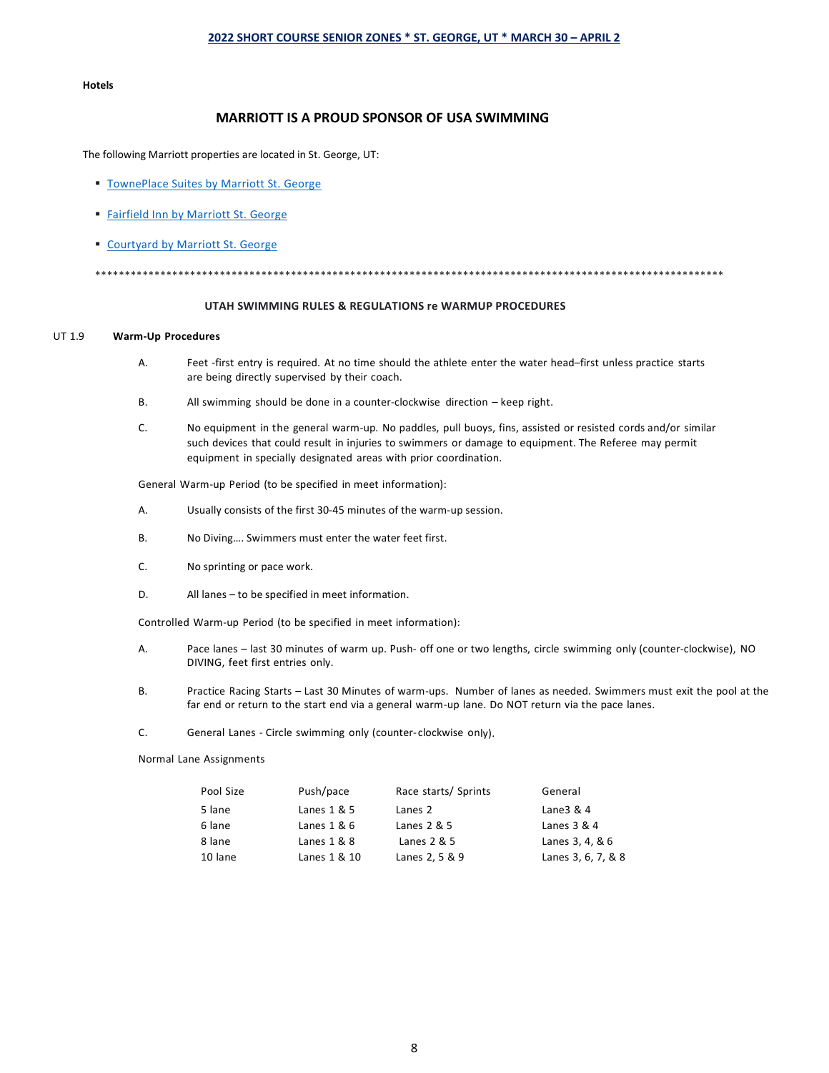#### **Hotels**

## **MARRIOTT IS A PROUD SPONSOR OF USA SWIMMING**

The following Marriott properties are located in St. George, UT:

- **[TownePlace Suites by Marriott St. George](https://www.google.com/travel/hotels/St.%20George/entity/CgsI45fiiZONwNO5ARAB?g2lb=2502548%2C2503781%2C4258168%2C4270442%2C4306835%2C4317915%2C4328159%2C4371335%2C4401769%2C4419364%2C4463666%2C4472151%2C4482438%2C4486153%2C4491350%2C4509286%2C4515801%2C4523593%2C4524134%2C4526389%2C4270859%2C4284970%2C4291517&hl=en-US&gl=us&ssta=1&ap=aAE&q=st%20george%20utah%20marriott%20hotels&rp=EOOX4omTjcDTuQEQmJzAnfnlxtWWARDgr4WBlbHKn_UBOAFAAUgDogEOU3QuIEdlb3JnZSwgVVTAAQPIAQA&ictx=1&ved=0CAAQ5JsGahcKEwjAw4DTltPvAhUAAAAAHQAAAAAQBA&utm_campaign=sharing&utm_medium=link&utm_source=htls&ts=CAESABogCgIaABIaEhQKBwjlDxADGB4SBwjlDxADGB8YATICEAAqGAoUSgIgAToDVVNEQgkILhIFO1Y6UygaAA)**
- [Fairfield Inn by Marriott St. George](https://www.google.com/travel/hotels/St.%20George/entity/CgsImJzAnfnlxtWWARAB?g2lb=2502548%2C2503781%2C4258168%2C4270442%2C4306835%2C4317915%2C4328159%2C4371335%2C4401769%2C4419364%2C4463666%2C4472151%2C4482438%2C4486153%2C4491350%2C4509286%2C4515801%2C4523593%2C4524134%2C4526389%2C4270859%2C4284970%2C4291517&hl=en-US&gl=us&ssta=1&ap=aAE&q=st%20george%20utah%20marriott%20hotels&rp=EOOX4omTjcDTuQEQmJzAnfnlxtWWARDgr4WBlbHKn_UBOAFAAUgDogEOU3QuIEdlb3JnZSwgVVTAAQPIAQA&ictx=1&ved=0CAAQ5JsGahcKEwiIwo-Rl9PvAhUAAAAAHQAAAAAQAg&utm_campaign=sharing&utm_medium=link&utm_source=htls&ts=CAESABogCgIaABIaEhQKBwjlDxADGB4SBwjlDxADGB8YATICEAAqGAoUSgIgAToDVVNEQgkILhIFO1Y6UygaAA)
- **[Courtyard by Marriott St. George](https://www.google.com/travel/hotels/St.%20George/entity/CgsI4K-FgZWxyp_1ARAB?g2lb=2502548%2C2503781%2C4258168%2C4270442%2C4306835%2C4317915%2C4328159%2C4371335%2C4401769%2C4419364%2C4463666%2C4472151%2C4482438%2C4486153%2C4491350%2C4509286%2C4515801%2C4523593%2C4524134%2C4526389%2C4270859%2C4284970%2C4291517&hl=en-US&gl=us&ssta=1&ap=aAE&q=st%20george%20utah%20marriott%20hotels&rp=EOOX4omTjcDTuQEQmJzAnfnlxtWWARDgr4WBlbHKn_UBOAFAAUgDogEOU3QuIEdlb3JnZSwgVVTAAQPIAQA&ictx=1&ved=0CAAQ5JsGahcKEwj4s-G0l9PvAhUAAAAAHQAAAAAQAg&utm_campaign=sharing&utm_medium=link&utm_source=htls&ts=CAESABogCgIaABIaEhQKBwjlDxADGB4SBwjlDxADGB8YATICEAAqGAoUSgIgAToDVVNEQgkILhIFO1Y6UygaAA)**

\*\*\*\*\*\*\*\*\*\*\*\*\*\*\*\*\*\*\*\*\*\*\*\*\*\*\*\*\*\*\*\*\*\*\*\*\*\*\*\*\*\*\*\*\*\*\*\*\*\*\*\*\*\*\*\*\*\*\*\*\*\*\*\*\*\*\*\*\*\*\*\*\*\*\*\*\*\*\*\*\*\*\*\*\*\*\*\*\*\*\*\*\*\*\*\*\*\*\*\*\*\*\*\*\*\*

# **UTAH SWIMMING RULES & REGULATIONS re WARMUP PROCEDURES**

### UT 1.9 **Warm-Up Procedures**

- A. Feet -first entry is required. At no time should the athlete enter the water head–first unless practice starts are being directly supervised by their coach.
- B. All swimming should be done in a counter-clockwise direction keep right.
- C. No equipment in the general warm-up. No paddles, pull buoys, fins, assisted or resisted cords and/or similar such devices that could result in injuries to swimmers or damage to equipment. The Referee may permit equipment in specially designated areas with prior coordination.

General Warm-up Period (to be specified in meet information):

- A. Usually consists of the first 30-45 minutes of the warm-up session.
- B. No Diving…. Swimmers must enter the water feet first.
- C. No sprinting or pace work.
- D. All lanes to be specified in meet information.

Controlled Warm-up Period (to be specified in meet information):

- A. Pace lanes last 30 minutes of warm up. Push- off one or two lengths, circle swimming only (counter-clockwise), NO DIVING, feet first entries only.
- B. Practice Racing Starts Last 30 Minutes of warm-ups. Number of lanes as needed. Swimmers must exit the pool at the far end or return to the start end via a general warm-up lane. Do NOT return via the pace lanes.
- C. General Lanes Circle swimming only (counter- clockwise only).

Normal Lane Assignments

| Pool Size | Push/pace     | Race starts/ Sprints | General            |
|-----------|---------------|----------------------|--------------------|
| 5 lane    | Lanes $1 & 5$ | Lanes 2              | Lane $3 & 4$       |
| 6 lane    | Lanes $1 & 6$ | Lanes $2 & 5$        | Lanes $3 & 4$      |
| 8 lane    | Lanes $1 & 8$ | Lanes $2 & 5$        | Lanes 3, 4, & 6    |
| 10 lane   | Lanes 1 & 10  | Lanes 2, 5 & 9       | Lanes 3, 6, 7, & 8 |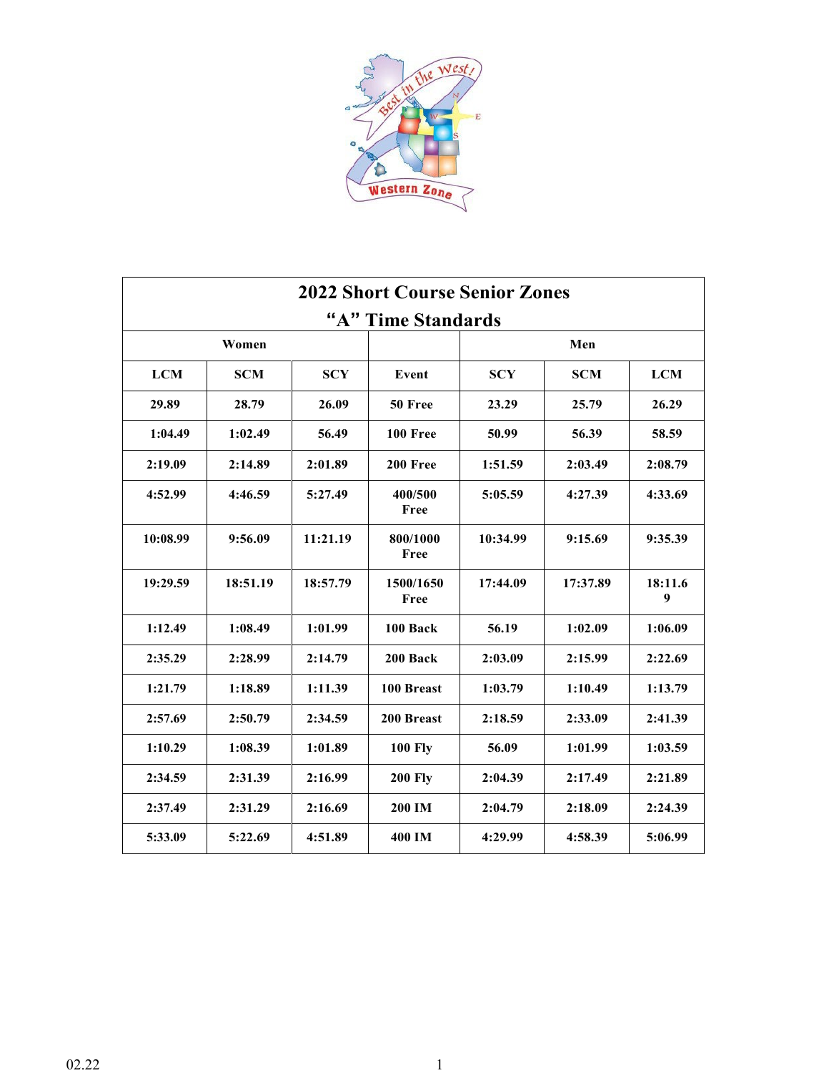

| <b>2022 Short Course Senior Zones</b> |            |            |                   |            |            |              |
|---------------------------------------|------------|------------|-------------------|------------|------------|--------------|
| "A" Time Standards                    |            |            |                   |            |            |              |
|                                       | Women      |            |                   |            | Men        |              |
| <b>LCM</b>                            | <b>SCM</b> | <b>SCY</b> | Event             | <b>SCY</b> | <b>SCM</b> | <b>LCM</b>   |
| 29.89                                 | 28.79      | 26.09      | 50 Free           | 23.29      | 25.79      | 26.29        |
| 1:04.49                               | 1:02.49    | 56.49      | 100 Free          | 50.99      | 56.39      | 58.59        |
| 2:19.09                               | 2:14.89    | 2:01.89    | 200 Free          | 1:51.59    | 2:03.49    | 2:08.79      |
| 4:52.99                               | 4:46.59    | 5:27.49    | 400/500<br>Free   | 5:05.59    | 4:27.39    | 4:33.69      |
| 10:08.99                              | 9:56.09    | 11:21.19   | 800/1000<br>Free  | 10:34.99   | 9:15.69    | 9:35.39      |
| 19:29.59                              | 18:51.19   | 18:57.79   | 1500/1650<br>Free | 17:44.09   | 17:37.89   | 18:11.6<br>9 |
| 1:12.49                               | 1:08.49    | 1:01.99    | 100 Back          | 56.19      | 1:02.09    | 1:06.09      |
| 2:35.29                               | 2:28.99    | 2:14.79    | 200 Back          | 2:03.09    | 2:15.99    | 2:22.69      |
| 1:21.79                               | 1:18.89    | 1:11.39    | 100 Breast        | 1:03.79    | 1:10.49    | 1:13.79      |
| 2:57.69                               | 2:50.79    | 2:34.59    | 200 Breast        | 2:18.59    | 2:33.09    | 2:41.39      |
| 1:10.29                               | 1:08.39    | 1:01.89    | <b>100 Fly</b>    | 56.09      | 1:01.99    | 1:03.59      |
| 2:34.59                               | 2:31.39    | 2:16.99    | <b>200 Fly</b>    | 2:04.39    | 2:17.49    | 2:21.89      |
| 2:37.49                               | 2:31.29    | 2:16.69    | 200 IM            | 2:04.79    | 2:18.09    | 2:24.39      |
| 5:33.09                               | 5:22.69    | 4:51.89    | 400 IM            | 4:29.99    | 4:58.39    | 5:06.99      |